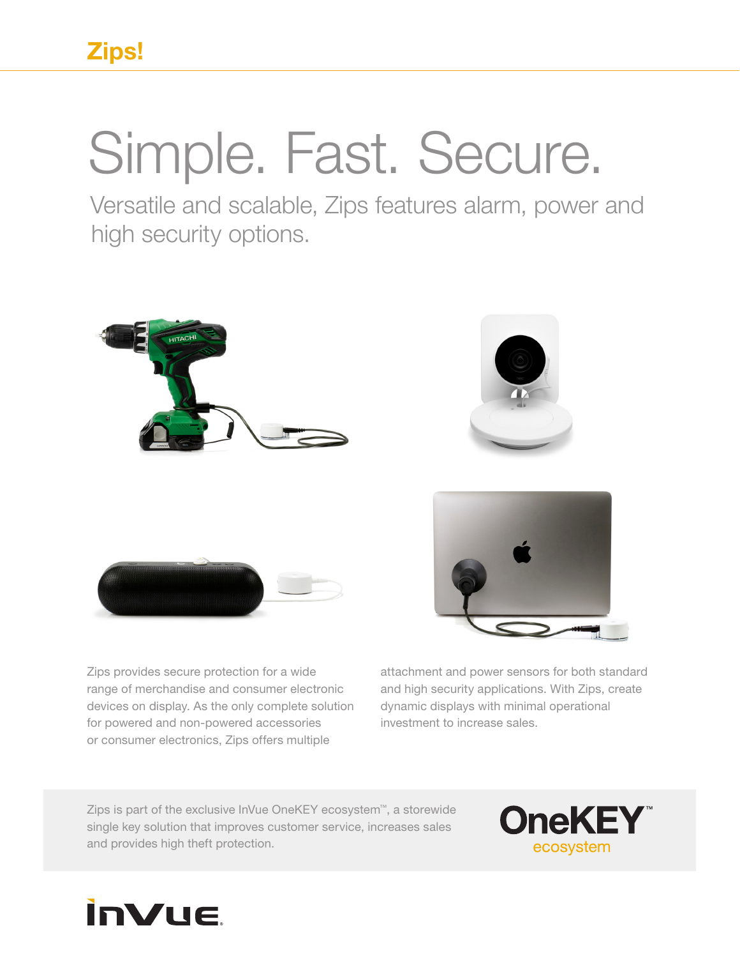## Simple. Fast. Secure.

Versatile and scalable, Zips features alarm, power and high security options.







Zips provides secure protection for a wide range of merchandise and consumer electronic devices on display. As the only complete solution for powered and non-powered accessories or consumer electronics, Zips offers multiple

attachment and power sensors for both standard and high security applications. With Zips, create dynamic displays with minimal operational investment to increase sales.

Zips is part of the exclusive InVue OneKEY ecosystem™, a storewide single key solution that improves customer service, increases sales and provides high theft protection.